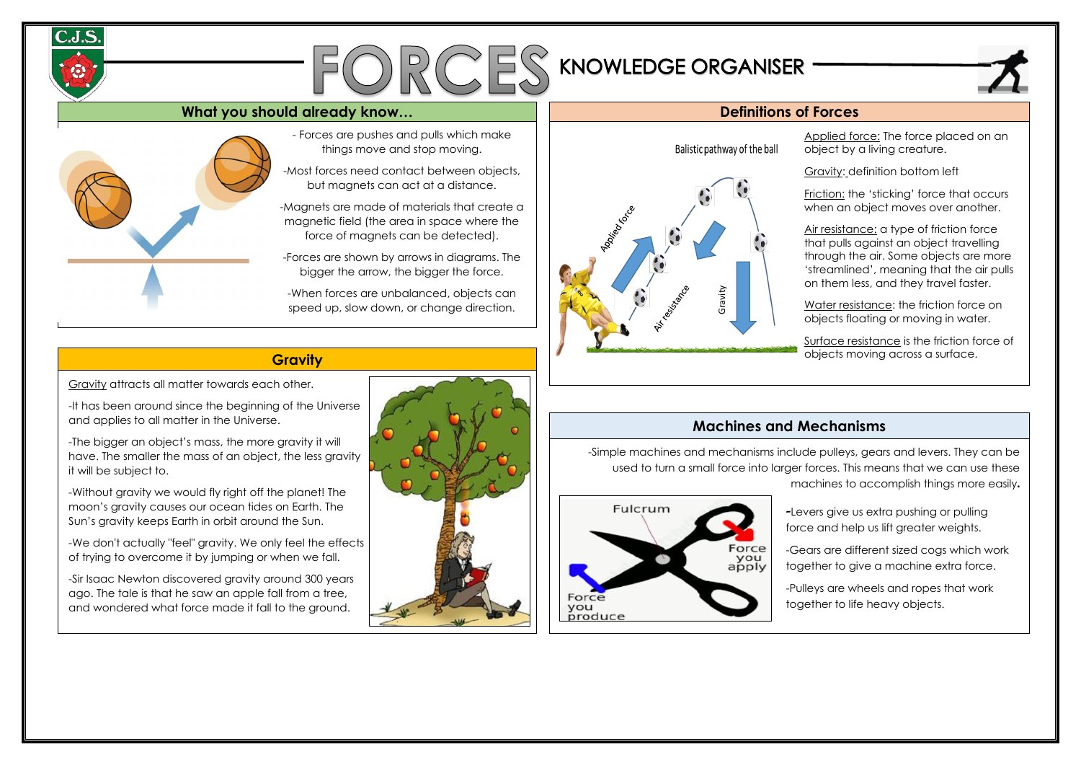# $FORCES$ KNOWLEDGE ORGANISER

## **What you should already know… Definitions of Forces**



### **Gravity**

## **Machines and Mechanisms**

- Forces are pushes and pulls which make things move and stop moving.

-Most forces need contact between objects, but magnets can act at a distance.

-Magnets are made of materials that create a magnetic field (the area in space where the force of magnets can be detected).

-Forces are shown by arrows in diagrams. The bigger the arrow, the bigger the force.

-When forces are unbalanced, objects can speed up, slow down, or change direction.

-

Surface resistance is the friction force of objects moving across a surface.

Applied force: The force placed on an object by a living creature.

Gravity: definition bottom left

Friction: the 'sticking' force that occurs when an object moves over another.

Air resistance: a type of friction force that pulls against an object travelling through the air. Some objects are more 'streamlined', meaning that the air pulls on them less, and they travel faster.

Water resistance: the friction force on objects floating or moving in water.

-Simple machines and mechanisms include pulleys, gears and levers. They can be used to turn a small force into larger forces. This means that we can use these machines to accomplish things more easily.



-Levers give us extra pushing or pulling force and help us lift greater weights.

-Gears are different sized cogs which work together to give a machine extra force.

-Pulleys are wheels and ropes that work together to life heavy objects.

Gravity attracts all matter towards each other.

-It has been around since the beginning of the Universe and applies to all matter in the Universe.

-The bigger an object's mass, the more gravity it will have. The smaller the mass of an object, the less gravity it will be subject to.

-Without gravity we would fly right off the planet! The moon's gravity causes our ocean tides on Earth. The Sun's gravity keeps Earth in orbit around the Sun.

-We don't actually "feel" gravity. We only feel the effects of trying to overcome it by jumping or when we fall.

-Sir Isaac Newton discovered gravity around 300 years ago. The tale is that he saw an apple fall from a tree, and wondered what force made it fall to the ground.